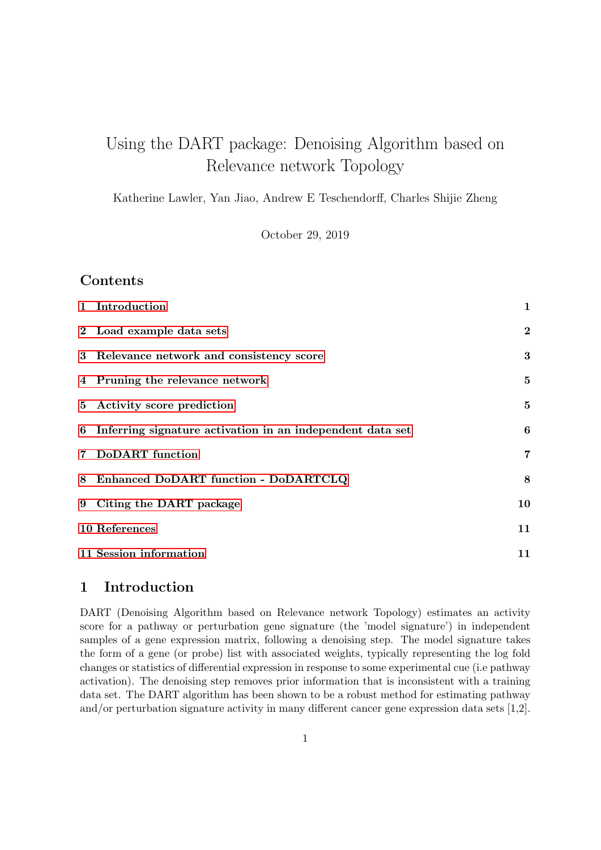# Using the DART package: Denoising Algorithm based on Relevance network Topology

Katherine Lawler, Yan Jiao, Andrew E Teschendorff, Charles Shijie Zheng

October 29, 2019

# Contents

|   | 1 Introduction                                              | $\mathbf 1$    |
|---|-------------------------------------------------------------|----------------|
|   | 2 Load example data sets                                    | $\bf{2}$       |
|   | 3 Relevance network and consistency score                   | 3              |
|   | 4 Pruning the relevance network                             | 5              |
|   | 5 Activity score prediction                                 | $\bf{5}$       |
|   | 6 Inferring signature activation in an independent data set | 6              |
| 7 | <b>DoDART</b> function                                      | $\overline{7}$ |
| 8 | Enhanced DoDART function - DoDARTCLQ                        | 8              |
|   | 9 Citing the DART package                                   | 10             |
|   | 10 References                                               | 11             |
|   | 11 Session information                                      | 11             |

# <span id="page-0-0"></span>1 Introduction

DART (Denoising Algorithm based on Relevance network Topology) estimates an activity score for a pathway or perturbation gene signature (the 'model signature') in independent samples of a gene expression matrix, following a denoising step. The model signature takes the form of a gene (or probe) list with associated weights, typically representing the log fold changes or statistics of differential expression in response to some experimental cue (i.e pathway activation). The denoising step removes prior information that is inconsistent with a training data set. The DART algorithm has been shown to be a robust method for estimating pathway and/or perturbation signature activity in many different cancer gene expression data sets [1,2].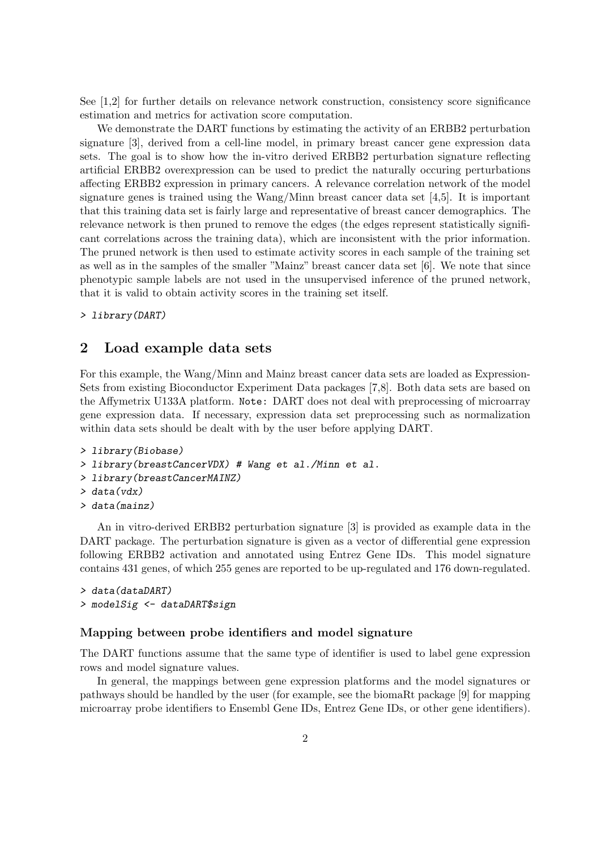See [1,2] for further details on relevance network construction, consistency score significance estimation and metrics for activation score computation.

We demonstrate the DART functions by estimating the activity of an ERBB2 perturbation signature [3], derived from a cell-line model, in primary breast cancer gene expression data sets. The goal is to show how the in-vitro derived ERBB2 perturbation signature reflecting artificial ERBB2 overexpression can be used to predict the naturally occuring perturbations affecting ERBB2 expression in primary cancers. A relevance correlation network of the model signature genes is trained using the Wang/Minn breast cancer data set [4,5]. It is important that this training data set is fairly large and representative of breast cancer demographics. The relevance network is then pruned to remove the edges (the edges represent statistically significant correlations across the training data), which are inconsistent with the prior information. The pruned network is then used to estimate activity scores in each sample of the training set as well as in the samples of the smaller "Mainz" breast cancer data set [6]. We note that since phenotypic sample labels are not used in the unsupervised inference of the pruned network, that it is valid to obtain activity scores in the training set itself.

> library(DART)

# <span id="page-1-0"></span>2 Load example data sets

For this example, the Wang/Minn and Mainz breast cancer data sets are loaded as Expression-Sets from existing Bioconductor Experiment Data packages [7,8]. Both data sets are based on the Affymetrix U133A platform. Note: DART does not deal with preprocessing of microarray gene expression data. If necessary, expression data set preprocessing such as normalization within data sets should be dealt with by the user before applying DART.

```
> library(Biobase)
```
- > library(breastCancerVDX) # Wang et al./Minn et al.
- > library(breastCancerMAINZ)
- > data(vdx)
- > data(mainz)

An in vitro-derived ERBB2 perturbation signature [3] is provided as example data in the DART package. The perturbation signature is given as a vector of differential gene expression following ERBB2 activation and annotated using Entrez Gene IDs. This model signature contains 431 genes, of which 255 genes are reported to be up-regulated and 176 down-regulated.

```
> data(dataDART)
> modelSig <- dataDART$sign
```
#### Mapping between probe identifiers and model signature

The DART functions assume that the same type of identifier is used to label gene expression rows and model signature values.

In general, the mappings between gene expression platforms and the model signatures or pathways should be handled by the user (for example, see the biomaRt package [9] for mapping microarray probe identifiers to Ensembl Gene IDs, Entrez Gene IDs, or other gene identifiers).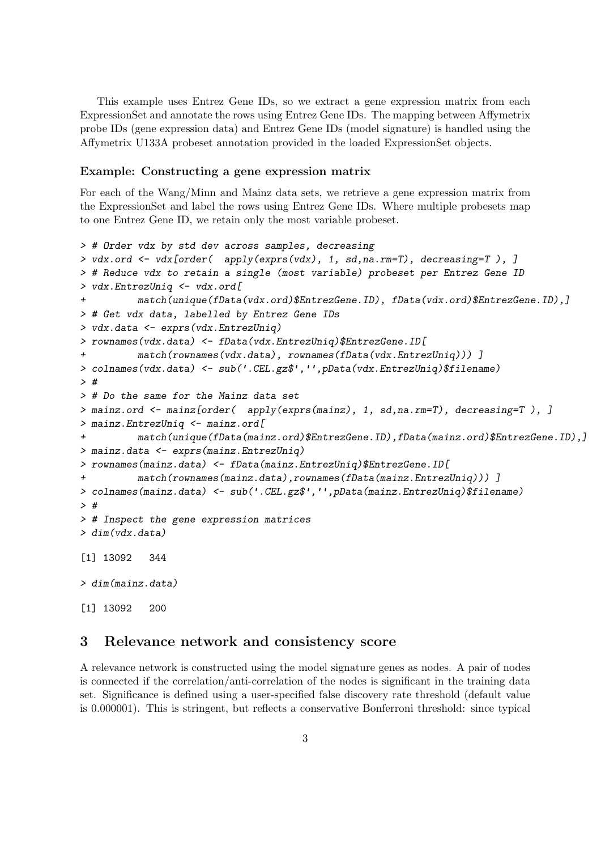This example uses Entrez Gene IDs, so we extract a gene expression matrix from each ExpressionSet and annotate the rows using Entrez Gene IDs. The mapping between Affymetrix probe IDs (gene expression data) and Entrez Gene IDs (model signature) is handled using the Affymetrix U133A probeset annotation provided in the loaded ExpressionSet objects.

#### Example: Constructing a gene expression matrix

For each of the Wang/Minn and Mainz data sets, we retrieve a gene expression matrix from the ExpressionSet and label the rows using Entrez Gene IDs. Where multiple probesets map to one Entrez Gene ID, we retain only the most variable probeset.

```
> # Order vdx by std dev across samples, decreasing
> vdx.ord <- vdx[order( apply(exprs(vdx), 1, sd,na.rm=T), decreasing=T ), ]
> # Reduce vdx to retain a single (most variable) probeset per Entrez Gene ID
> vdx.EntrezUniq <- vdx.ord[
+ match(unique(fData(vdx.ord)$EntrezGene.ID), fData(vdx.ord)$EntrezGene.ID),]
> # Get vdx data, labelled by Entrez Gene IDs
> vdx.data <- exprs(vdx.EntrezUniq)
> rownames(vdx.data) <- fData(vdx.EntrezUniq)$EntrezGene.ID[
+ match(rownames(vdx.data), rownames(fData(vdx.EntrezUniq))) ]
> colnames(vdx.data) <- sub('.CEL.gz$','',pData(vdx.EntrezUniq)$filename)
> #
> # Do the same for the Mainz data set
> mainz.ord <- mainz[order( apply(exprs(mainz), 1, sd,na.rm=T), decreasing=T ), ]
> mainz.EntrezUniq <- mainz.ord[
+ match(unique(fData(mainz.ord)$EntrezGene.ID),fData(mainz.ord)$EntrezGene.ID),]
> mainz.data <- exprs(mainz.EntrezUniq)
> rownames(mainz.data) <- fData(mainz.EntrezUniq)$EntrezGene.ID[
+ match(rownames(mainz.data),rownames(fData(mainz.EntrezUniq))) ]
> colnames(mainz.data) <- sub('.CEL.gz$','',pData(mainz.EntrezUniq)$filename)
> #
> # Inspect the gene expression matrices
> dim(vdx.data)
[1] 13092 344
> dim(mainz.data)
[1] 13092 200
```
#### <span id="page-2-0"></span>3 Relevance network and consistency score

A relevance network is constructed using the model signature genes as nodes. A pair of nodes is connected if the correlation/anti-correlation of the nodes is significant in the training data set. Significance is defined using a user-specified false discovery rate threshold (default value is 0.000001). This is stringent, but reflects a conservative Bonferroni threshold: since typical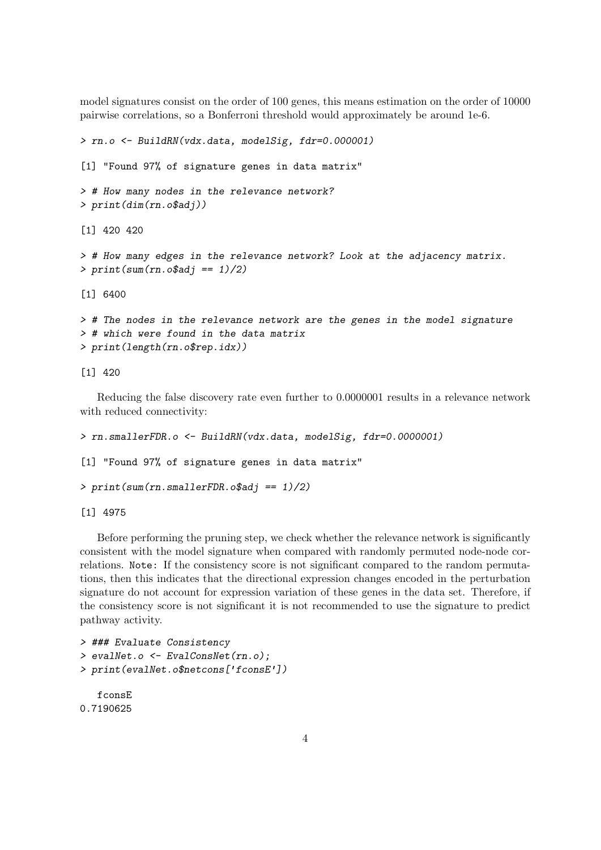model signatures consist on the order of 100 genes, this means estimation on the order of 10000 pairwise correlations, so a Bonferroni threshold would approximately be around 1e-6.

```
> rn.o <- BuildRN(vdx.data, modelSig, fdr=0.000001)
[1] "Found 97% of signature genes in data matrix"
> # How many nodes in the relevance network?
> print(dim(rn.o$adj))
[1] 420 420
> # How many edges in the relevance network? Look at the adjacency matrix.
> print(sum(rn.o$adj == 1)/2)
[1] 6400
> # The nodes in the relevance network are the genes in the model signature
> # which were found in the data matrix
> print(length(rn.o$rep.idx))
```
[1] 420

Reducing the false discovery rate even further to 0.0000001 results in a relevance network with reduced connectivity:

```
> rn.smallerFDR.o <- BuildRN(vdx.data, modelSig, fdr=0.0000001)
[1] "Found 97% of signature genes in data matrix"
> print(sum(rn.smallerFDR.o$addi == 1)/2)
```
[1] 4975

Before performing the pruning step, we check whether the relevance network is significantly consistent with the model signature when compared with randomly permuted node-node correlations. Note: If the consistency score is not significant compared to the random permutations, then this indicates that the directional expression changes encoded in the perturbation signature do not account for expression variation of these genes in the data set. Therefore, if the consistency score is not significant it is not recommended to use the signature to predict pathway activity.

```
> ### Evaluate Consistency
> evalNet.o <- EvalConsNet(rn.o);
> print(evalNet.o$netcons['fconsE'])
  fconsE
0.7190625
```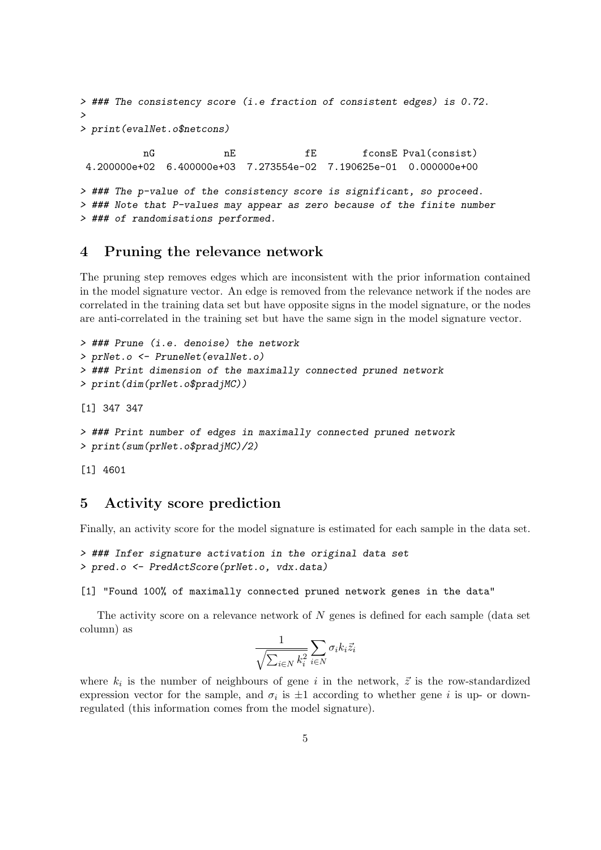```
> ### The consistency score (i.e fraction of consistent edges) is 0.72.
>
> print(evalNet.o$netcons)
          nG nE fE fconsE Pval(consist)
4.200000e+02 6.400000e+03 7.273554e-02 7.190625e-01 0.000000e+00
> ### The p-value of the consistency score is significant, so proceed.
> ### Note that P-values may appear as zero because of the finite number
> ### of randomisations performed.
```
#### <span id="page-4-0"></span>4 Pruning the relevance network

The pruning step removes edges which are inconsistent with the prior information contained in the model signature vector. An edge is removed from the relevance network if the nodes are correlated in the training data set but have opposite signs in the model signature, or the nodes are anti-correlated in the training set but have the same sign in the model signature vector.

```
> ### Prune (i.e. denoise) the network
> prNet.o <- PruneNet(evalNet.o)
> ### Print dimension of the maximally connected pruned network
> print(dim(prNet.o$pradjMC))
```
[1] 347 347

```
> ### Print number of edges in maximally connected pruned network
> print(sum(prNet.o$pradjMC)/2)
```
[1] 4601

## <span id="page-4-1"></span>5 Activity score prediction

Finally, an activity score for the model signature is estimated for each sample in the data set.

```
> ### Infer signature activation in the original data set
> pred.o <- PredActScore(prNet.o, vdx.data)
```
[1] "Found 100% of maximally connected pruned network genes in the data"

The activity score on a relevance network of  $N$  genes is defined for each sample (data set column) as

$$
\frac{1}{\sqrt{\sum_{i\in N}k_i^2}}\sum_{i\in N}\sigma_ik_i\vec{z}_i
$$

where  $k_i$  is the number of neighbours of gene i in the network,  $\vec{z}$  is the row-standardized expression vector for the sample, and  $\sigma_i$  is  $\pm 1$  according to whether gene i is up- or downregulated (this information comes from the model signature).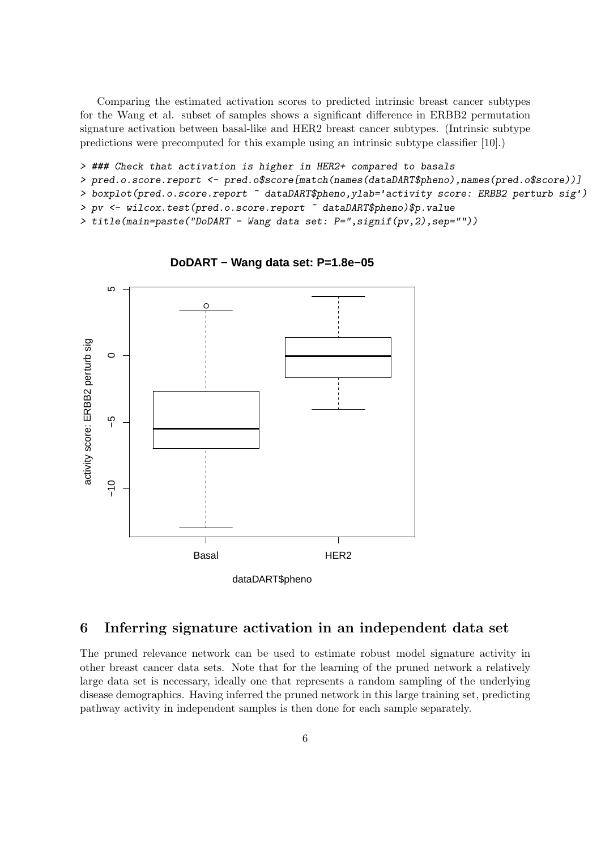Comparing the estimated activation scores to predicted intrinsic breast cancer subtypes for the Wang et al. subset of samples shows a significant difference in ERBB2 permutation signature activation between basal-like and HER2 breast cancer subtypes. (Intrinsic subtype predictions were precomputed for this example using an intrinsic subtype classifier [10].)

> ### Check that activation is higher in HER2+ compared to basals

> pred.o.score.report <- pred.o\$score[match(names(dataDART\$pheno),names(pred.o\$score))]

> boxplot(pred.o.score.report ~ dataDART\$pheno,ylab='activity score: ERBB2 perturb sig')

> pv <- wilcox.test(pred.o.score.report  $\tilde{ }$  dataDART\$pheno)\$p.value

> title(main=paste("DoDART - Wang data set: P=",signif(pv,2),sep=""))



**DoDART − Wang data set: P=1.8e−05**

# <span id="page-5-0"></span>6 Inferring signature activation in an independent data set

The pruned relevance network can be used to estimate robust model signature activity in other breast cancer data sets. Note that for the learning of the pruned network a relatively large data set is necessary, ideally one that represents a random sampling of the underlying disease demographics. Having inferred the pruned network in this large training set, predicting pathway activity in independent samples is then done for each sample separately.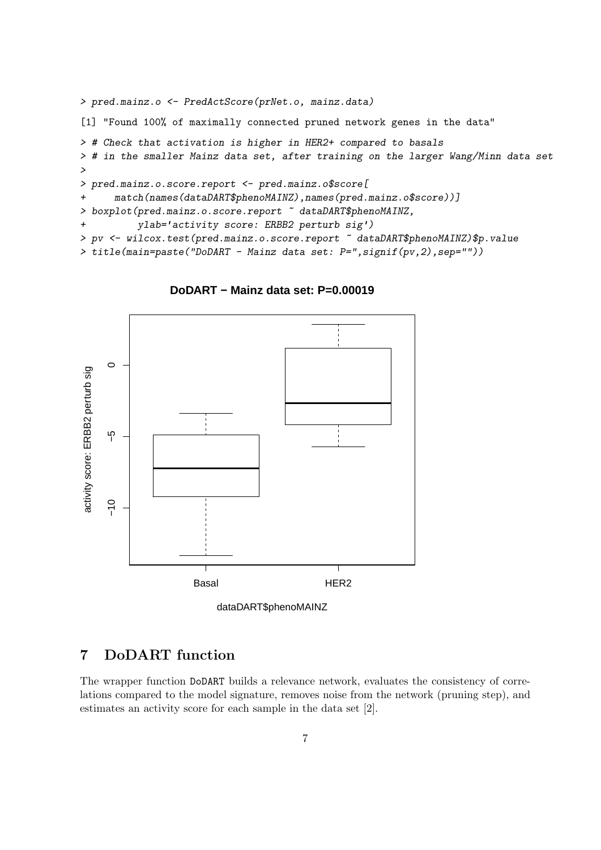```
> pred.mainz.o <- PredActScore(prNet.o, mainz.data)
[1] "Found 100% of maximally connected pruned network genes in the data"
> # Check that activation is higher in HER2+ compared to basals
> # in the smaller Mainz data set, after training on the larger Wang/Minn data set
>
> pred.mainz.o.score.report <- pred.mainz.o$score[
+ match(names(dataDART$phenoMAINZ),names(pred.mainz.o$score))]
> boxplot(pred.mainz.o.score.report ~ dataDART$phenoMAINZ,
+ ylab='activity score: ERBB2 perturb sig')
> pv <- wilcox.test(pred.mainz.o.score.report \degree dataDART$phenoMAINZ)$p.value
> title(main=paste("DoDART - Mainz data set: P=",signif(pv,2),sep=""))
```


**DoDART − Mainz data set: P=0.00019**

## <span id="page-6-0"></span>7 DoDART function

The wrapper function DoDART builds a relevance network, evaluates the consistency of correlations compared to the model signature, removes noise from the network (pruning step), and estimates an activity score for each sample in the data set [2].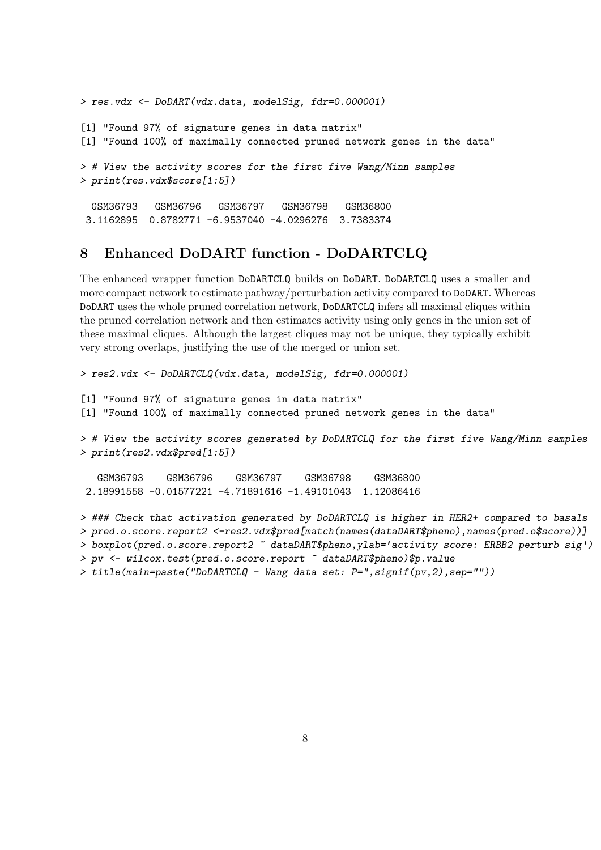```
> res.vdx <- DoDART(vdx.data, modelSig, fdr=0.000001)
[1] "Found 97% of signature genes in data matrix"
[1] "Found 100% of maximally connected pruned network genes in the data"
> # View the activity scores for the first five Wang/Minn samples
> print(res.vdx$score[1:5])
 GSM36793 GSM36796 GSM36797 GSM36798 GSM36800
3.1162895 0.8782771 -6.9537040 -4.0296276 3.7383374
```
# <span id="page-7-0"></span>8 Enhanced DoDART function - DoDARTCLQ

The enhanced wrapper function DoDARTCLQ builds on DoDART. DoDARTCLQ uses a smaller and more compact network to estimate pathway/perturbation activity compared to DoDART. Whereas DoDART uses the whole pruned correlation network, DoDARTCLQ infers all maximal cliques within the pruned correlation network and then estimates activity using only genes in the union set of these maximal cliques. Although the largest cliques may not be unique, they typically exhibit very strong overlaps, justifying the use of the merged or union set.

```
> res2.vdx <- DoDARTCLQ(vdx.data, modelSig, fdr=0.000001)
[1] "Found 97% of signature genes in data matrix"
[1] "Found 100% of maximally connected pruned network genes in the data"
> # View the activity scores generated by DoDARTCLQ for the first five Wang/Minn samples
> print(res2.vdx$pred[1:5])
   GSM36793 GSM36796 GSM36797 GSM36798 GSM36800
2.18991558 -0.01577221 -4.71891616 -1.49101043 1.12086416
> ### Check that activation generated by DoDARTCLQ is higher in HER2+ compared to basals
> pred.o.score.report2 <-res2.vdx$pred[match(names(dataDART$pheno),names(pred.o$score))]
> boxplot(pred.o.score.report2 ~ dataDART$pheno,ylab='activity score: ERBB2 perturb sig')
> pv <- wilcox.test(pred.o.score.report \tilde{ } dataDART$pheno)$p.value
```

```
> title(main=paste("DoDARTCLQ - Wang data set: P=",signif(pv,2),sep=""))
```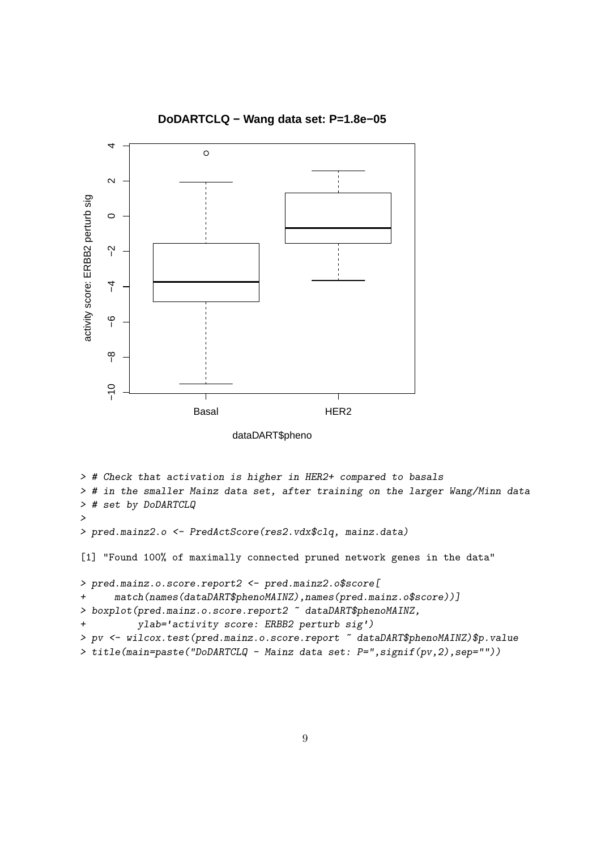

**DoDARTCLQ − Wang data set: P=1.8e−05**

```
> # Check that activation is higher in HER2+ compared to basals
> # in the smaller Mainz data set, after training on the larger Wang/Minn data
> # set by DoDARTCLQ
>
> pred.mainz2.o <- PredActScore(res2.vdx$clq, mainz.data)
[1] "Found 100% of maximally connected pruned network genes in the data"
> pred.mainz.o.score.report2 <- pred.mainz2.o$score[
+ match(names(dataDART$phenoMAINZ),names(pred.mainz.o$score))]
> boxplot(pred.mainz.o.score.report2 ~ dataDART$phenoMAINZ,
+ ylab='activity score: ERBB2 perturb sig')
> pv <- wilcox.test(pred.mainz.o.score.report \tilde{ } dataDART$phenoMAINZ)$p.value
> title(main=paste("DoDARTCLQ - Mainz data set: P=",signif(pv,2),sep=""))
```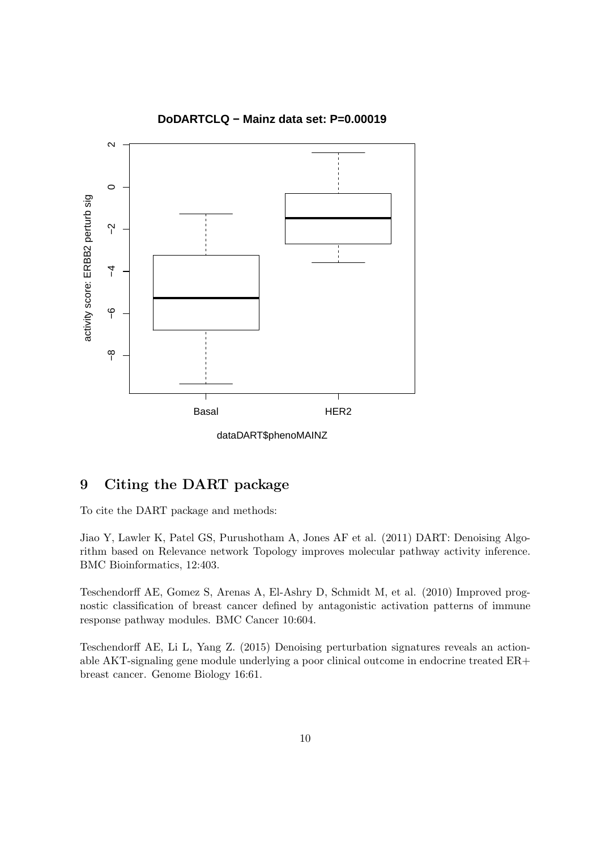

#### **DoDARTCLQ − Mainz data set: P=0.00019**

dataDART\$phenoMAINZ

# <span id="page-9-0"></span>9 Citing the DART package

To cite the DART package and methods:

Jiao Y, Lawler K, Patel GS, Purushotham A, Jones AF et al. (2011) DART: Denoising Algorithm based on Relevance network Topology improves molecular pathway activity inference. BMC Bioinformatics, 12:403.

Teschendorff AE, Gomez S, Arenas A, El-Ashry D, Schmidt M, et al. (2010) Improved prognostic classification of breast cancer defined by antagonistic activation patterns of immune response pathway modules. BMC Cancer 10:604.

Teschendorff AE, Li L, Yang Z. (2015) Denoising perturbation signatures reveals an actionable AKT-signaling gene module underlying a poor clinical outcome in endocrine treated ER+ breast cancer. Genome Biology 16:61.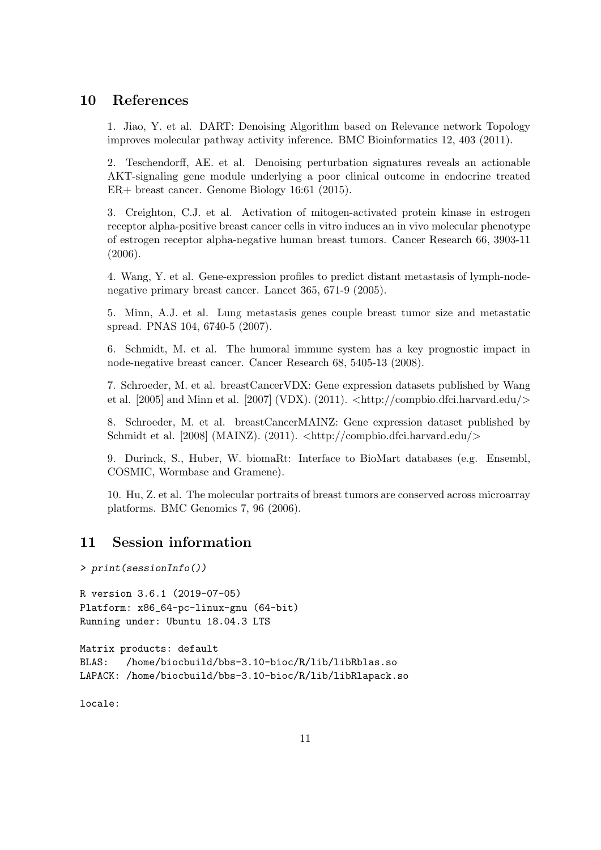# <span id="page-10-0"></span>10 References

1. Jiao, Y. et al. DART: Denoising Algorithm based on Relevance network Topology improves molecular pathway activity inference. BMC Bioinformatics 12, 403 (2011).

2. Teschendorff, AE. et al. Denoising perturbation signatures reveals an actionable AKT-signaling gene module underlying a poor clinical outcome in endocrine treated ER+ breast cancer. Genome Biology 16:61 (2015).

3. Creighton, C.J. et al. Activation of mitogen-activated protein kinase in estrogen receptor alpha-positive breast cancer cells in vitro induces an in vivo molecular phenotype of estrogen receptor alpha-negative human breast tumors. Cancer Research 66, 3903-11 (2006).

4. Wang, Y. et al. Gene-expression profiles to predict distant metastasis of lymph-nodenegative primary breast cancer. Lancet 365, 671-9 (2005).

5. Minn, A.J. et al. Lung metastasis genes couple breast tumor size and metastatic spread. PNAS 104, 6740-5 (2007).

6. Schmidt, M. et al. The humoral immune system has a key prognostic impact in node-negative breast cancer. Cancer Research 68, 5405-13 (2008).

7. Schroeder, M. et al. breastCancerVDX: Gene expression datasets published by Wang et al.  $[2005]$  and Minn et al.  $[2007]$  (VDX).  $(2011)$ .  $\langle \text{http://comphio.dfei.harvard.edu/>}$ 

8. Schroeder, M. et al. breastCancerMAINZ: Gene expression dataset published by Schmidt et al.  $[2008]$  (MAINZ). (2011).  $\langle \text{http://compbio.dfei.harvard.edu/}\rangle$ 

9. Durinck, S., Huber, W. biomaRt: Interface to BioMart databases (e.g. Ensembl, COSMIC, Wormbase and Gramene).

10. Hu, Z. et al. The molecular portraits of breast tumors are conserved across microarray platforms. BMC Genomics 7, 96 (2006).

# <span id="page-10-1"></span>11 Session information

> print(sessionInfo())

R version 3.6.1 (2019-07-05) Platform: x86\_64-pc-linux-gnu (64-bit) Running under: Ubuntu 18.04.3 LTS

Matrix products: default BLAS: /home/biocbuild/bbs-3.10-bioc/R/lib/libRblas.so LAPACK: /home/biocbuild/bbs-3.10-bioc/R/lib/libRlapack.so

locale: